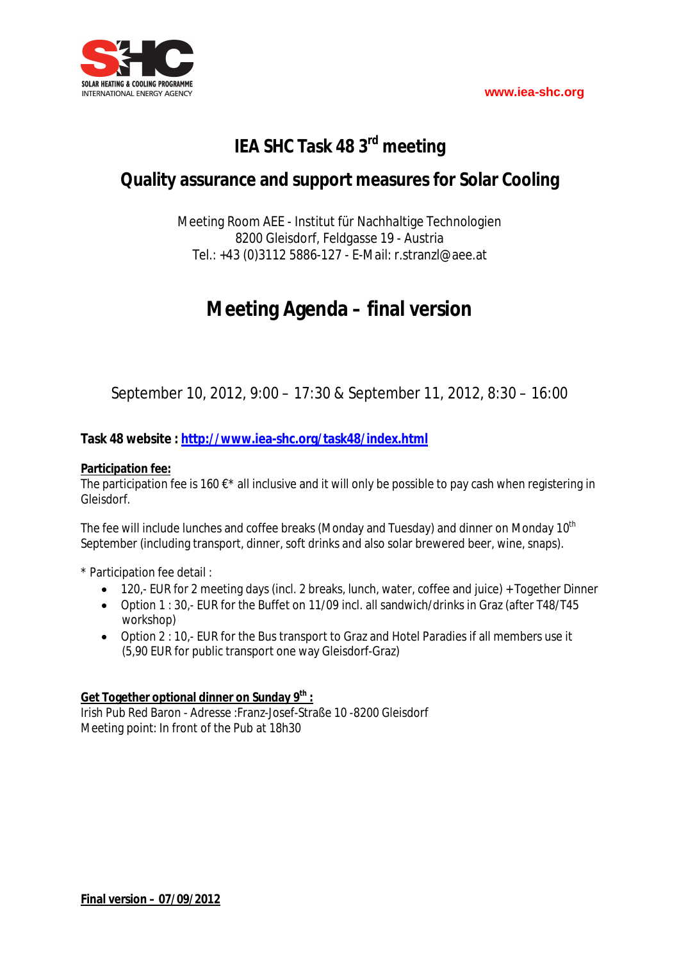

# **IEA SHC Task 48 3rd meeting**

# **Quality assurance and support measures for Solar Cooling**

Meeting Room AEE - Institut für Nachhaltige Technologien 8200 Gleisdorf, Feldgasse 19 - Austria Tel.: +43 (0)3112 5886-127 - E-Mail: r.stranzl@aee.at

# **Meeting Agenda – final version**

September 10, 2012, 9:00 – 17:30 & September 11, 2012, 8:30 – 16:00

### **Task 48 website : http://www.iea-shc.org/task48/index.html**

### **Participation fee:**

The participation fee is 160  $\epsilon^*$  all inclusive and it will only be possible to pay cash when registering in Gleisdorf.

The fee will include lunches and coffee breaks (Monday and Tuesday) and dinner on Monday 10<sup>th</sup> September (including transport, dinner, soft drinks and also solar brewered beer, wine, snaps).

\* Participation fee detail :

- 120,- EUR for 2 meeting days (incl. 2 breaks, lunch, water, coffee and juice) + Together Dinner
- Option 1 : 30,- EUR for the Buffet on 11/09 incl. all sandwich/drinks in Graz (after T48/T45 workshop)
- Option 2 : 10,- EUR for the Bus transport to Graz and Hotel Paradies if all members use it (5,90 EUR for public transport one way Gleisdorf-Graz)

### **Get Together optional dinner on Sunday 9th :**

Irish Pub Red Baron - Adresse :Franz-Josef-Straße 10 -8200 Gleisdorf Meeting point: In front of the Pub at 18h30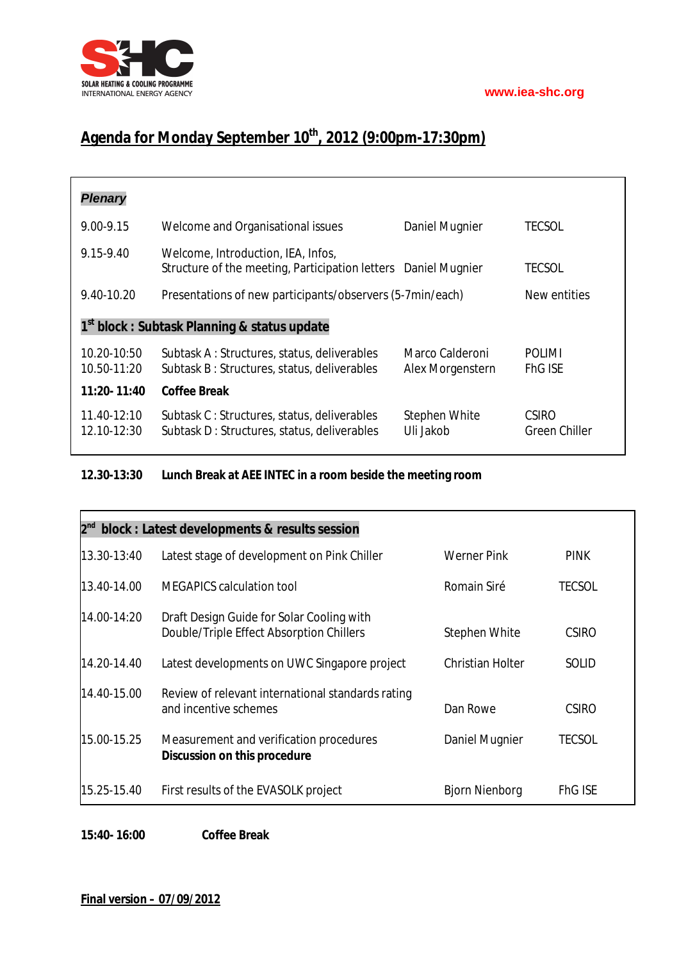

# **Agenda for Monday September 10th, 2012 (9:00pm-17:30pm)**

| <b>Plenary</b>                                           |                                                                                                      |                                     |                               |  |  |
|----------------------------------------------------------|------------------------------------------------------------------------------------------------------|-------------------------------------|-------------------------------|--|--|
| $9.00 - 9.15$                                            | Welcome and Organisational issues                                                                    | Daniel Mugnier                      | <b>TECSOL</b>                 |  |  |
| 9.15-9.40                                                | Welcome, Introduction, IEA, Infos,<br>Structure of the meeting, Participation letters Daniel Mugnier |                                     | TECSOL                        |  |  |
| 9.40-10.20                                               | Presentations of new participants/observers (5-7min/each)                                            | New entities                        |                               |  |  |
| 1 <sup>st</sup> block : Subtask Planning & status update |                                                                                                      |                                     |                               |  |  |
| 10.20-10:50<br>10.50-11:20                               | Subtask A: Structures, status, deliverables<br>Subtask B: Structures, status, deliverables           | Marco Calderoni<br>Alex Morgenstern | POLIMI<br><b>FhG ISE</b>      |  |  |
| 11:20-11:40                                              | <b>Coffee Break</b>                                                                                  |                                     |                               |  |  |
| 11.40-12:10<br>12.10-12:30                               | Subtask C: Structures, status, deliverables<br>Subtask D: Structures, status, deliverables           | Stephen White<br>Uli Jakob.         | <b>CSIRO</b><br>Green Chiller |  |  |

### **12.30-13:30 Lunch Break at AEE INTEC in a room beside the meeting room**

| $2^{nd}$<br>block : Latest developments & results session |                                                                                       |                       |                |  |  |  |  |
|-----------------------------------------------------------|---------------------------------------------------------------------------------------|-----------------------|----------------|--|--|--|--|
| 13.30-13:40                                               | Latest stage of development on Pink Chiller                                           | <b>Werner Pink</b>    | <b>PINK</b>    |  |  |  |  |
| 13.40-14.00                                               | <b>MEGAPICS</b> calculation tool                                                      | Romain Siré           | <b>TECSOL</b>  |  |  |  |  |
| 14.00-14:20                                               | Draft Design Guide for Solar Cooling with<br>Double/Triple Effect Absorption Chillers | Stephen White         | <b>CSIRO</b>   |  |  |  |  |
| 14.20-14.40                                               | Latest developments on UWC Singapore project                                          | Christian Holter      | <b>SOLID</b>   |  |  |  |  |
| 14.40-15.00                                               | Review of relevant international standards rating<br>and incentive schemes            | Dan Rowe              | <b>CSIRO</b>   |  |  |  |  |
| 15.00-15.25                                               | Measurement and verification procedures<br><b>Discussion on this procedure</b>        | Daniel Mugnier        | <b>TECSOL</b>  |  |  |  |  |
| 15.25-15.40                                               | First results of the EVASOLK project                                                  | <b>Bjorn Nienborg</b> | <b>FhG ISE</b> |  |  |  |  |

**15:40- 16:00 Coffee Break**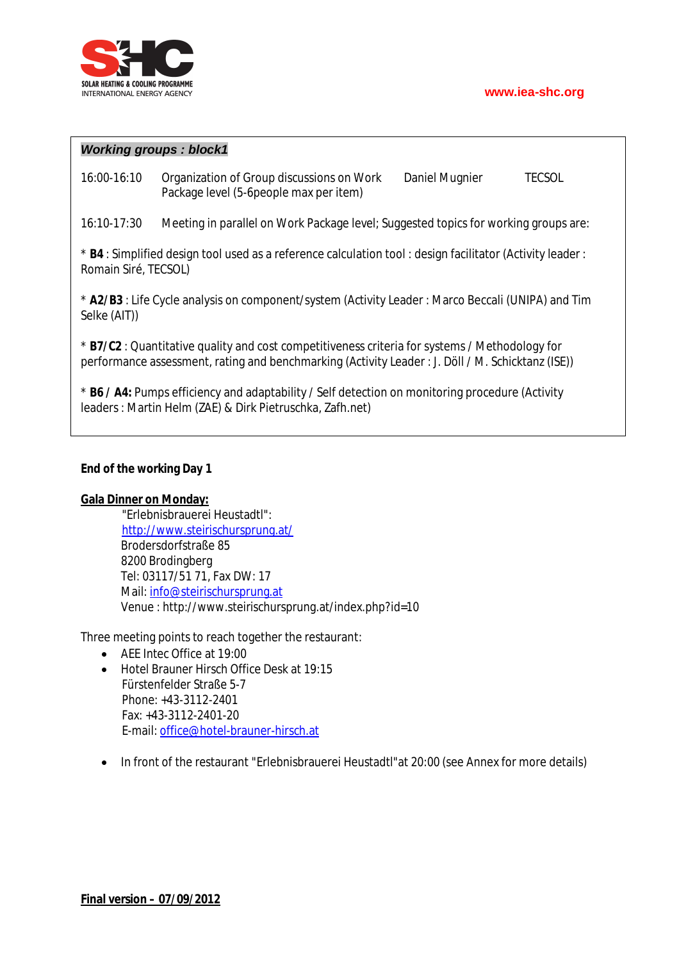

### *Working groups : block1*

16:00-16:10 Organization of Group discussions on Work Daniel Mugnier TECSOL Package level (5-6people max per item)

16:10-17:30 Meeting in parallel on Work Package level; Suggested topics for working groups are:

\* **B4** : Simplified design tool used as a reference calculation tool : design facilitator (Activity leader : Romain Siré, TECSOL)

\* **A2/B3** : Life Cycle analysis on component/system (Activity Leader : Marco Beccali (UNIPA) and Tim Selke (AIT))

\* **B7/C2** : Quantitative quality and cost competitiveness criteria for systems / Methodology for performance assessment, rating and benchmarking (Activity Leader : J. Döll / M. Schicktanz (ISE))

\* **B6 / A4:** Pumps efficiency and adaptability / Self detection on monitoring procedure (Activity leaders : Martin Helm (ZAE) & Dirk Pietruschka, Zafh.net)

### **End of the working Day 1**

#### **Gala Dinner on Monday:**

"Erlebnisbrauerei Heustadtl": http://www.steirischursprung.at/ Brodersdorfstraße 85 8200 Brodingberg Tel: 03117/51 71, Fax DW: 17 Mail: info@steirischursprung.at Venue : http://www.steirischursprung.at/index.php?id=10

Three meeting points to reach together the restaurant:

- AEE Intec Office at 19:00
- Hotel Brauner Hirsch Office Desk at 19:15 Fürstenfelder Straße 5-7 Phone: +43-3112-2401 Fax: +43-3112-2401-20 E-mail: office@hotel-brauner-hirsch.at
- In front of the restaurant "Erlebnisbrauerei Heustadtl" at 20:00 (see Annex for more details)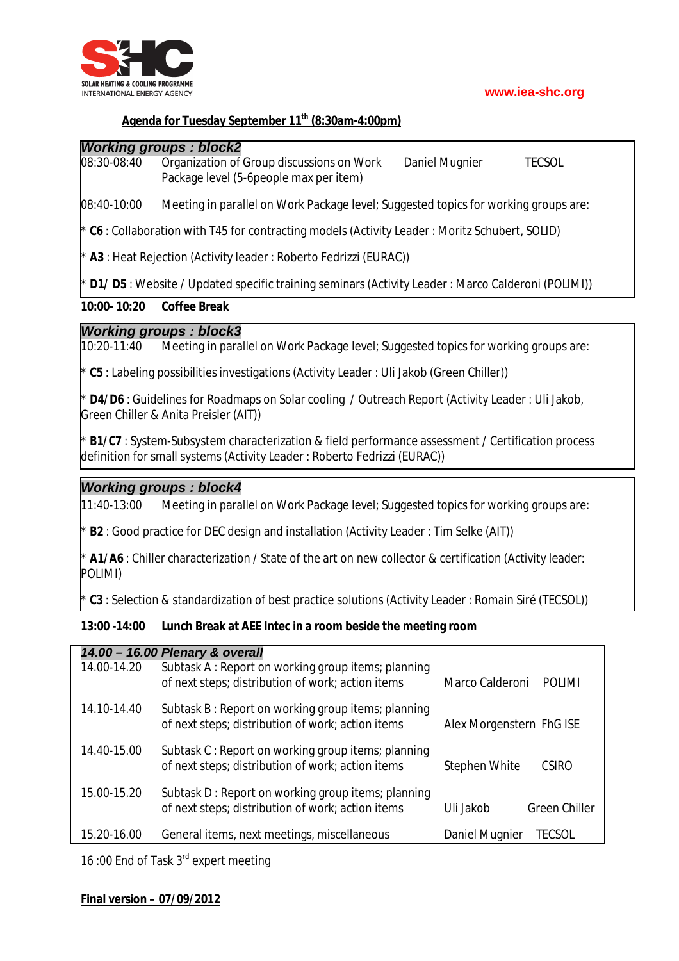

### **Agenda for Tuesday September 11th (8:30am-4:00pm)**

### *Working groups : block2*

08:30-08:40 Organization of Group discussions on Work Daniel Mugnier TECSOL Package level (5-6people max per item)

08:40-10:00 Meeting in parallel on Work Package level; Suggested topics for working groups are:

\* **C6** : Collaboration with T45 for contracting models (Activity Leader : Moritz Schubert, SOLID)

A3 : Heat Rejection (Activity leader : Roberto Fedrizzi (EURAC))

**D1/ D5** : Website / Updated specific training seminars (Activity Leader : Marco Calderoni (POLIMI))

### **10:00- 10:20 Coffee Break**

### *Working groups : block3*

10:20-11:40 Meeting in parallel on Work Package level; Suggested topics for working groups are:

\* **C5** : Labeling possibilities investigations (Activity Leader : Uli Jakob (Green Chiller))

**D4/D6** : Guidelines for Roadmaps on Solar cooling / Outreach Report (Activity Leader : Uli Jakob, Green Chiller & Anita Preisler (AIT))

**B1/C7** : System-Subsystem characterization & field performance assessment / Certification process definition for small systems (Activity Leader : Roberto Fedrizzi (EURAC))

### *Working groups : block4*

11:40-13:00 Meeting in parallel on Work Package level; Suggested topics for working groups are:

**B2** : Good practice for DEC design and installation (Activity Leader : Tim Selke (AIT))

\* **A1/A6** : Chiller characterization / State of the art on new collector & certification (Activity leader: POLIMI)

**C3** : Selection & standardization of best practice solutions (Activity Leader : Romain Siré (TECSOL))

### **13:00 -14:00 Lunch Break at AEE Intec in a room beside the meeting room**

| 14.00 - 16.00 Plenary & overall |                                                    |                                  |  |  |  |  |
|---------------------------------|----------------------------------------------------|----------------------------------|--|--|--|--|
| 14.00-14.20                     | Subtask A: Report on working group items; planning |                                  |  |  |  |  |
|                                 | of next steps; distribution of work; action items  | Marco Calderoni<br><b>POLIMI</b> |  |  |  |  |
| 14.10-14.40                     | Subtask B: Report on working group items; planning |                                  |  |  |  |  |
|                                 | of next steps; distribution of work; action items  | Alex Morgenstern FhG ISE         |  |  |  |  |
| 14.40-15.00                     | Subtask C: Report on working group items; planning |                                  |  |  |  |  |
|                                 | of next steps; distribution of work; action items  | <b>CSIRO</b><br>Stephen White    |  |  |  |  |
| 15.00-15.20                     | Subtask D: Report on working group items; planning |                                  |  |  |  |  |
|                                 | of next steps; distribution of work; action items  | Uli Jakob<br>Green Chiller       |  |  |  |  |
| 15.20-16.00                     |                                                    | <b>TECSOL</b>                    |  |  |  |  |
|                                 | General items, next meetings, miscellaneous        | Daniel Mugnier                   |  |  |  |  |

16:00 End of Task 3<sup>rd</sup> expert meeting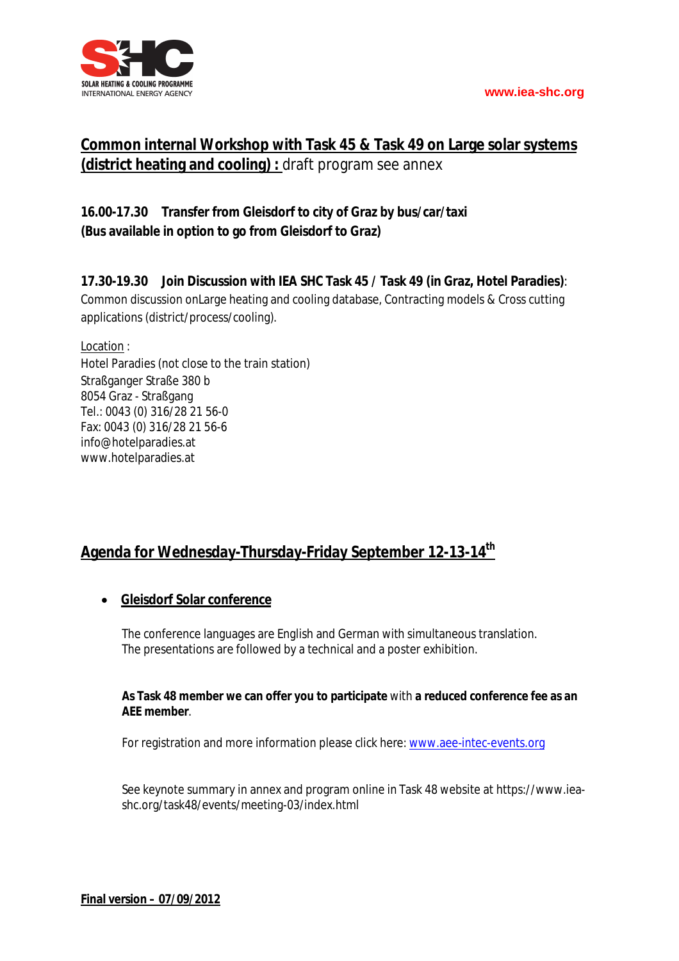

## **Common internal Workshop with Task 45 & Task 49 on Large solar systems (district heating and cooling) :** draft program see annex

### **16.00-17.30 Transfer from Gleisdorf to city of Graz by bus/car/taxi (Bus available in option to go from Gleisdorf to Graz)**

### **17.30-19.30 Join Discussion with IEA SHC Task 45 / Task 49 (in Graz, Hotel Paradies)**:

Common discussion onLarge heating and cooling database, Contracting models & Cross cutting applications (district/process/cooling).

Location :

Hotel Paradies (not close to the train station) Straßganger Straße 380 b 8054 Graz - Straßgang Tel.: 0043 (0) 316/28 21 56-0 Fax: 0043 (0) 316/28 21 56-6 info@hotelparadies.at www.hotelparadies.at

## **Agenda for Wednesday-Thursday-Friday September 12-13-14th**

### **Gleisdorf Solar conference**

The conference languages are English and German with simultaneous translation. The presentations are followed by a technical and a poster exhibition.

### **As Task 48 member we can offer you to participate** with **a reduced conference fee as an AEE member**.

For registration and more information please click here: www.aee-intec-events.org

See keynote summary in annex and program online in Task 48 website at https://www.ieashc.org/task48/events/meeting-03/index.html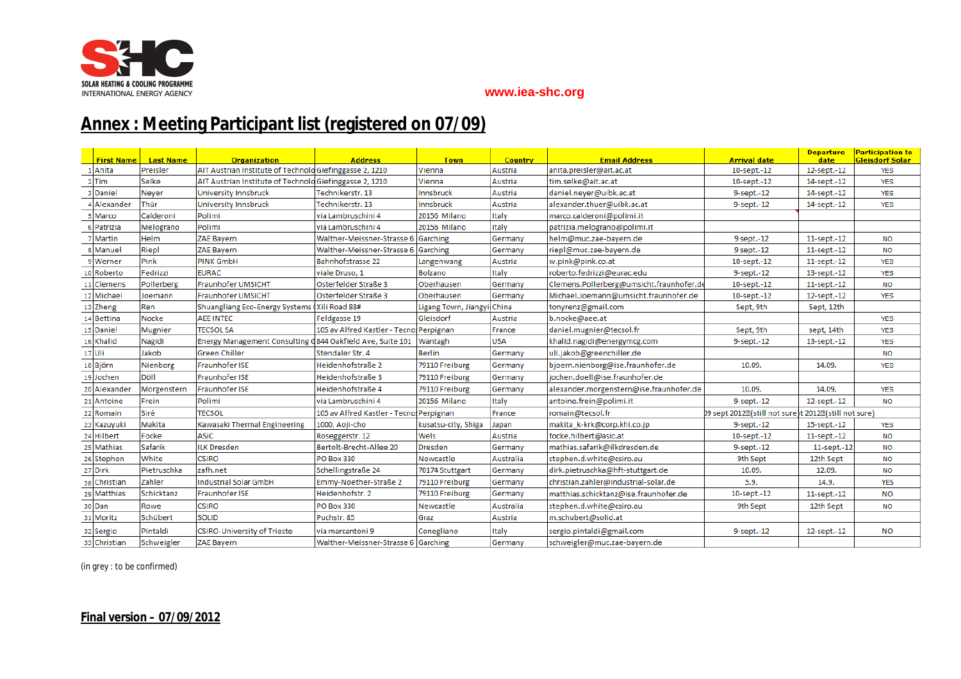

# **Annex : Meeting Participant list (registered on 07/09)**

|    | <b>First Name</b> | <b>Last Name</b> | <b>Organization</b>                                                 | <b>Address</b>                          | <b>Town</b>                | <b>Country</b> | <b>Email Address</b>                     | <b>Arrival date</b>                                                              | <b>Departure</b><br>date | <b>Participation to</b><br><b>Gleisdorf Solar</b> |
|----|-------------------|------------------|---------------------------------------------------------------------|-----------------------------------------|----------------------------|----------------|------------------------------------------|----------------------------------------------------------------------------------|--------------------------|---------------------------------------------------|
|    | Anita             | Preisler         | AIT Austrian Institute of Technolo Giefinggasse 2, 1210             |                                         | Vienna                     | Austria        | anita.preisler@ait.ac.at                 | 10-sept.-12                                                                      | 12-sept.-12              | <b>YES</b>                                        |
|    | <b>Tim</b>        | Selke            | AIT Austrian Institute of Technolo Giefinggasse 2, 1210             |                                         | Vienna                     | Austria        | tim.selke@ait.ac.at                      | 10-sept.-12                                                                      | 14-sept.-12              | <b>YES</b>                                        |
|    | Daniel            | Neyer            | University Innsbruck                                                | Technikerstr. 13                        | Innsbruck                  | Austria        | daniel.neyer@uibk.ac.at                  | 9-sept.-12                                                                       | 14-sept.-12              | <b>YES</b>                                        |
|    | Alexander         | Thür             | <b>University Innsbruck</b>                                         | Technikerstr, 13                        | Innsbruck                  | Austria        | alexander.thuer@uibk.ac.at               | 9-sept.-12                                                                       | 14-sept.-12              | <b>YES</b>                                        |
|    | Marco             | Calderoni        | Polimi                                                              | via Lambruschini 4                      | 20156 Milano               | Italy          | marco.calderoni@polimi.it                |                                                                                  |                          |                                                   |
|    | Patrizia          | Melograno        | Polimi                                                              | via Lambruschini 4                      | 20156 Milano               | Italy          | patrizia.melograno@polimi.it             |                                                                                  |                          |                                                   |
|    | Martin            | Helm             | ZAE Bayern                                                          | Walther-Meissner-Strasse 6 Garching     |                            | Germany        | helm@muc.zae-bayern.de                   | 9 sept.-12                                                                       | 11-sept.-12              | <b>NO</b>                                         |
|    | Manuel            | Riepl            | ZAE Bayern                                                          | Walther-Meissner-Strasse 6 Garching     |                            | Germany        | riepl@muc.zae-bayern.de                  | 9 sept.-12                                                                       | 11-sept.-12              | <b>NO</b>                                         |
|    | Werner            | Pink             | PINK GmbH                                                           | <b>Bahnhofstrasse 22</b>                | Langenwang                 | Austria        | w.pink@pink.co.at                        | 10-sept.-12                                                                      | $11$ -sept.- $12$        | <b>YES</b>                                        |
| 10 | Roberto           | Fedrizzi         | <b>EURAC</b>                                                        | viale Druso, 1                          | <b>Bolzano</b>             | Italy          | roberto.fedrizzi@eurac.edu               | 9-sept.-12                                                                       | 13-sept.-12              | <b>YES</b>                                        |
| 11 | <b>Clemens</b>    | Pollerberg       | Fraunhofer UMSICHT                                                  | Osterfelder Straße 3                    | Oberhausen                 | Germany        | Clemens.Pollerberg@umsicht.fraunhofer.de | 10-sept.-12                                                                      | 11-sept.-12              | <b>NO</b>                                         |
|    | 12 Michael        | Joemann          | <b>Fraunhofer UMSICHT</b>                                           | Osterfelder Straße 3                    | Oberhausen                 | Germany        | Michael.Joemann@umsicht.fraunhofer.de    | 10-sept.-12                                                                      | 12-sept.-12              | <b>YES</b>                                        |
|    | 13 Zheng          | Ren              | Shuangliang Eco-Energy Systems (Xili Road 88#                       |                                         | Ligang Town, Jiangyi China |                | tonyrenz@gmail.com                       | Sept, 9th                                                                        | Sept, 12th               |                                                   |
|    | 14 Bettina        | Nocke            | <b>AEE INTEC</b>                                                    | Feldgasse 19                            | Gleisdorf                  | Austria        | b.nocke@aee.at                           |                                                                                  |                          | <b>YES</b>                                        |
| 15 | Daniel            | <b>Mugnier</b>   | <b>TECSOL SA</b>                                                    | 105 av Alfred Kastler - Tecno Perpignan |                            | France         | daniel.mugnier@tecsol.fr                 | Sept, 9th                                                                        | sept, 14th               | <b>YES</b>                                        |
| 16 | Khalid            | Nagidi           | Energy Management Consulting G844 Oakfield Ave, Suite 101   Wantagh |                                         |                            | <b>USA</b>     | khalid.nagidi@energymcg.com              | 9-sept.-12                                                                       | 13-sept.-12              | <b>YES</b>                                        |
|    | $17$ Uli          | Jakob            | <b>Green Chiller</b>                                                | Stendaler Str. 4                        | <b>Berlin</b>              | Germany        | uli.jakob@greenchiller.de                |                                                                                  |                          | <b>NO</b>                                         |
|    | 18 Björn          | Nienborg         | <b>Fraunhofer ISE</b>                                               | Heidenhofstraße 2                       | 79110 Freiburg             | Germany        | bjoern.nienborg@ise.fraunhofer.de        | 10.09.                                                                           | 14.09.                   | <b>YES</b>                                        |
|    | 19 Jochen         | Döll             | <b>Fraunhofer ISE</b>                                               | Heidenhofstraße 3                       | 79110 Freiburg             | Germany        | jochen.doell@ise.fraunhofer.de           |                                                                                  |                          |                                                   |
| 20 | Alexander         | Morgenstern      | <b>Fraunhofer ISE</b>                                               | Heidenhofstraße 4                       | 79110 Freiburg             | Germany        | alexander.morgenstern@ise.fraunhofer.de  | 10.09.                                                                           | 14.09.                   | <b>YES</b>                                        |
|    | 21 Antoine        | Frein            | Polimi                                                              | lvia Lambruschini 4                     | 20156 Milano               | Italy          | antoine.frein@polimi.it                  | 9-sept.-12                                                                       | 12-sept.-12              | <b>NO</b>                                         |
|    | 22 Romain         | Siré             | <b>TECSOL</b>                                                       | 105 av Alfred Kastler - Tecno Perpignan |                            | France         | romain@tecsol.fr                         | D9 sept 2012 <sup>[</sup> (still not sure)t 2012 <sup>[2]</sup> (still not sure) |                          |                                                   |
| 23 | Kazuyuki          | Makita           | Kawasaki Thermal Engineering                                        | 1000, Aoji-cho                          | kusatsu-city, Shiga        | Japan          | makita_k-krk@corp.khi.co.jp              | 9-sept.-12                                                                       | 15-sept.-12              | <b>YES</b>                                        |
|    | 24 Hilbert        | Focke            | <b>ASiC</b>                                                         | Roseggerstr. 12                         | Wels                       | Austria        | focke.hilbert@asic.at                    | 10-sept.-12                                                                      | 11-sept.-12              | <b>NO</b>                                         |
|    | 25 Mathias        | Safarik          | <b>ILK Dresden</b>                                                  | Bertolt-Brecht-Allee 20                 | <b>Dresden</b>             | Germany        | mathias.safarik@ilkdresden.de            | 9-sept.-12                                                                       | 11-sept.-12              | <b>NO</b>                                         |
|    | 26 Stephen        | White            | <b>CSIRO</b>                                                        | <b>PO Box 330</b>                       | Newcastle                  | Australia      | stephen.d.white@csiro.au                 | 9th Sept                                                                         | 12th Sept                | <b>NO</b>                                         |
|    | 27 Dirk           | Pietruschka      | zafh.net                                                            | Schellingstraße 24                      | 70174 Stuttgart            | Germany        | dirk.pietruschka@hft-stuttgart.de        | 10.09.                                                                           | 12.09.                   | <b>NO</b>                                         |
| 28 | Christian         | Zahler           | Industrial Solar GmbH                                               | Emmy-Noether-Straße 2                   | 79110 Freiburg             | Germany        | christian.zahler@industrial-solar.de     | 5.9.                                                                             | 14.9.                    | <b>YES</b>                                        |
| 29 | <b>Matthias</b>   | Schicktanz       | Fraunhofer ISE                                                      | Heidenhofstr. 2                         | 79110 Freiburg             | Germany        | matthias.schicktanz@ise.fraunhofer.de    | 10-sept.-12                                                                      | 11-sept.-12              | <b>NO</b>                                         |
|    | 30 Dan            | Rowe             | <b>CSIRO</b>                                                        | PO Box 330                              | Newcastle                  | Australia      | stephen.d.white@csiro.au                 | 9th Sept                                                                         | 12th Sept                | <b>NO</b>                                         |
|    | 31 Moritz         | Schübert         | <b>SOLID</b>                                                        | Puchstr. 85                             | Graz                       | Austria        | m.schubert@solid.at                      |                                                                                  |                          |                                                   |
|    | 32 Sergio         | Pintaldi         | <b>CSIRO-University of Trieste</b>                                  | via marcantoni 9                        | Conegliano                 | Italy          | sergio.pintaldi@gmail.com                | 9-sept.-12                                                                       | 12-sept.-12              | <b>NO</b>                                         |
|    | 33 Christian      | Schweigler       | ZAE Bayern                                                          | Walther-Meissner-Strasse 6 Garching     |                            | Germany        | schweigler@muc.zae-bayern.de             |                                                                                  |                          |                                                   |

(in grey : to be confirmed)

### **Final version – 07/09/2012**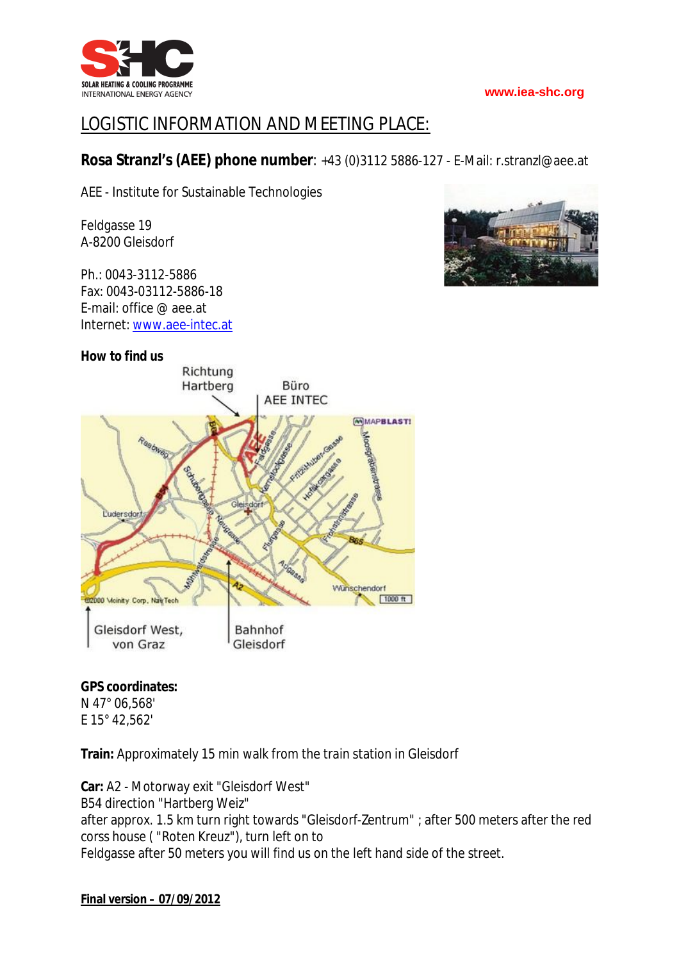

# LOGISTIC INFORMATION AND MEETING PLACE:

### **Rosa Stranzl's (AEE) phone number**: +43 (0)3112 5886-127 - E-Mail: r.stranzl@aee.at

AEE - Institute for Sustainable Technologies

Feldgasse 19 A-8200 Gleisdorf

Ph.: 0043-3112-5886 Fax: 0043-03112-5886-18 E-mail: office @ aee.at Internet: www.aee-intec.at



### **GPS coordinates:**

N 47° 06,568' E 15° 42,562'

**Train:** Approximately 15 min walk from the train station in Gleisdorf

**Car:** A2 - Motorway exit "Gleisdorf West" B54 direction "Hartberg Weiz" after approx. 1.5 km turn right towards "Gleisdorf-Zentrum" ; after 500 meters after the red corss house ( "Roten Kreuz"), turn left on to Feldgasse after 50 meters you will find us on the left hand side of the street.

**Final version – 07/09/2012**

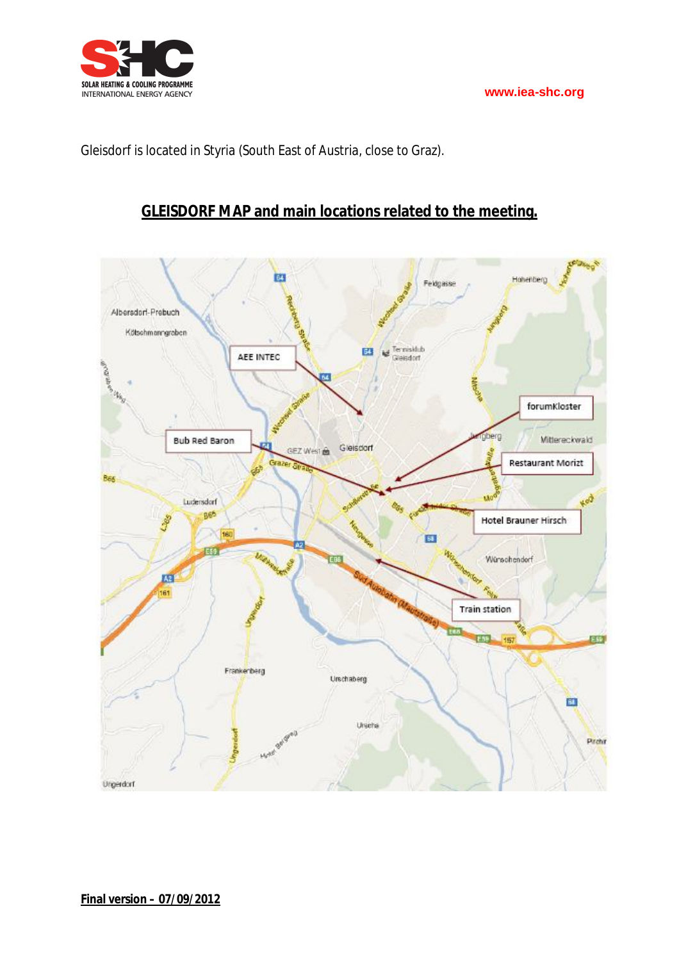

Gleisdorf is located in Styria (South East of Austria, close to Graz).

## **GLEISDORF MAP and main locations related to the meeting.**

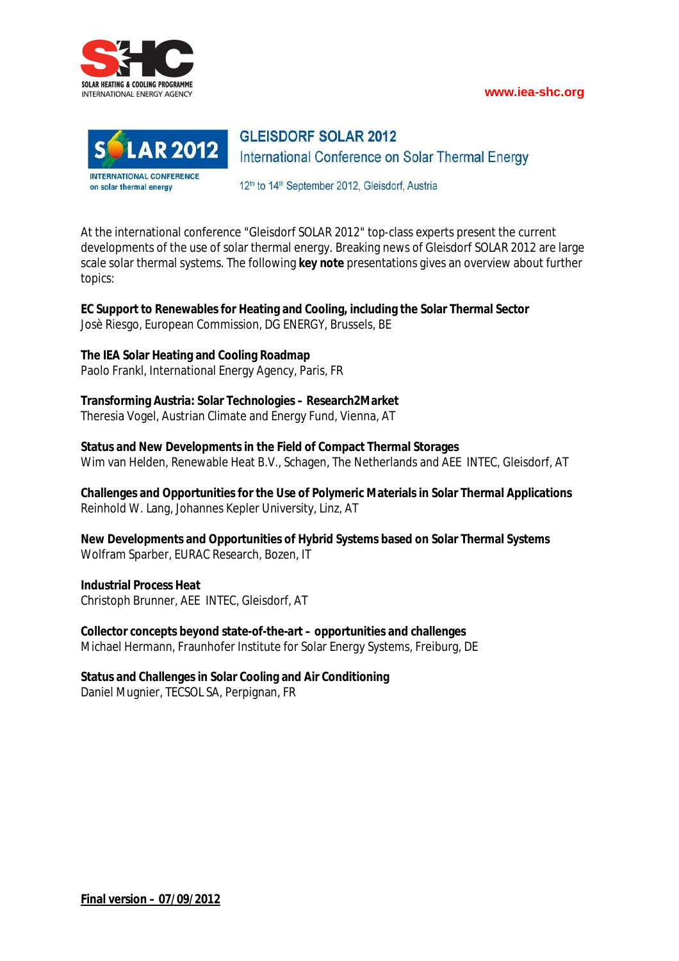



**GLEISDORF SOLAR 2012** International Conference on Solar Thermal Energy

12<sup>th</sup> to 14<sup>th</sup> September 2012, Gleisdorf, Austria

At the international conference "Gleisdorf SOLAR 2012" top-class experts present the current developments of the use of solar thermal energy. Breaking news of Gleisdorf SOLAR 2012 are large scale solar thermal systems. The following **key note** presentations gives an overview about further topics:

**EC Support to Renewables for Heating and Cooling, including the Solar Thermal Sector** Josè Riesgo, European Commission, DG ENERGY, Brussels, BE

### **The IEA Solar Heating and Cooling Roadmap**

Paolo Frankl, International Energy Agency, Paris, FR

### **Transforming Austria: Solar Technologies – Research2Market**

Theresia Vogel, Austrian Climate and Energy Fund, Vienna, AT

**Status and New Developments in the Field of Compact Thermal Storages** Wim van Helden, Renewable Heat B.V., Schagen, The Netherlands and AEE INTEC, Gleisdorf, AT

**Challenges and Opportunities for the Use of Polymeric Materials in Solar Thermal Applications** Reinhold W. Lang, Johannes Kepler University, Linz, AT

**New Developments and Opportunities of Hybrid Systems based on Solar Thermal Systems** Wolfram Sparber, EURAC Research, Bozen, IT

**Industrial Process Heat** Christoph Brunner, AEE INTEC, Gleisdorf, AT

**Collector concepts beyond state-of-the-art – opportunities and challenges** Michael Hermann, Fraunhofer Institute for Solar Energy Systems, Freiburg, DE

### **Status and Challenges in Solar Cooling and Air Conditioning**

Daniel Mugnier, TECSOL SA, Perpignan, FR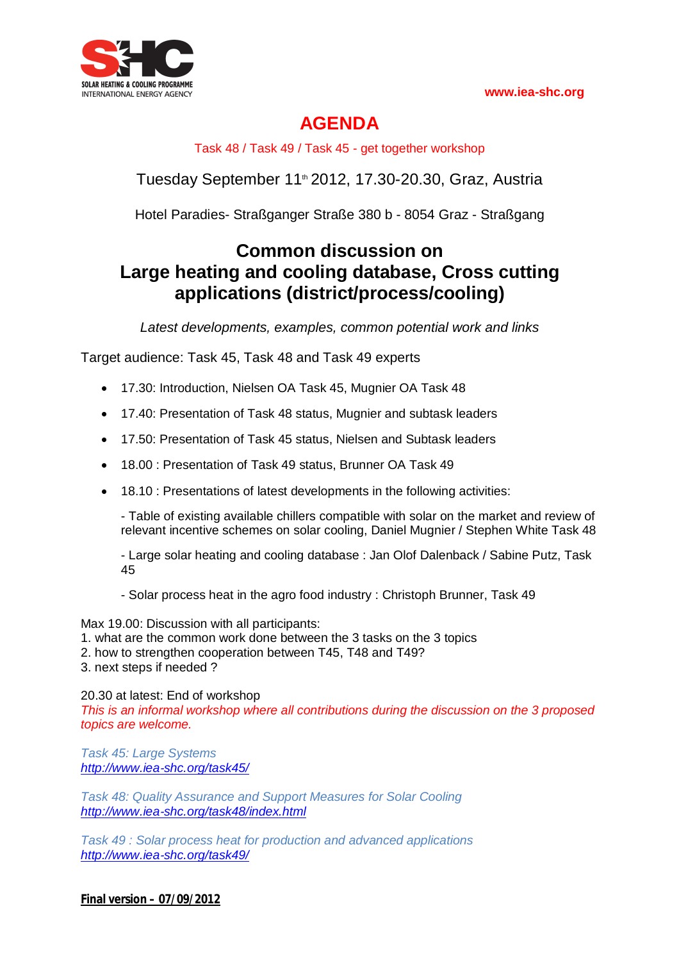

# **AGENDA**

Task 48 / Task 49 / Task 45 - get together workshop

Tuesday September 11<sup>th</sup> 2012, 17.30-20.30, Graz, Austria

Hotel Paradies- Straßganger Straße 380 b - 8054 Graz - Straßgang

# **Common discussion on Large heating and cooling database, Cross cutting applications (district/process/cooling)**

*Latest developments, examples, common potential work and links*

Target audience: Task 45, Task 48 and Task 49 experts

- 17.30: Introduction, Nielsen OA Task 45, Mugnier OA Task 48
- 17.40: Presentation of Task 48 status, Mugnier and subtask leaders
- 17.50: Presentation of Task 45 status, Nielsen and Subtask leaders
- 18.00 : Presentation of Task 49 status, Brunner OA Task 49
- 18.10 : Presentations of latest developments in the following activities:

- Table of existing available chillers compatible with solar on the market and review of relevant incentive schemes on solar cooling, Daniel Mugnier / Stephen White Task 48

- Large solar heating and cooling database : Jan Olof Dalenback / Sabine Putz, Task 45

- Solar process heat in the agro food industry : Christoph Brunner, Task 49

Max 19.00: Discussion with all participants:

- 1. what are the common work done between the 3 tasks on the 3 topics
- 2. how to strengthen cooperation between T45, T48 and T49?
- 3. next steps if needed ?

20.30 at latest: End of workshop

*This is an informal workshop where all contributions during the discussion on the 3 proposed topics are welcome.*

*Task 45: Large Systems http://www.iea‐shc.org/task45/*

*Task 48: Quality Assurance and Support Measures for Solar Cooling http://www.iea‐shc.org/task48/index.html*

*Task 49 : Solar process heat for production and advanced applications http://www.iea‐shc.org/task49/*

**Final version – 07/09/2012**